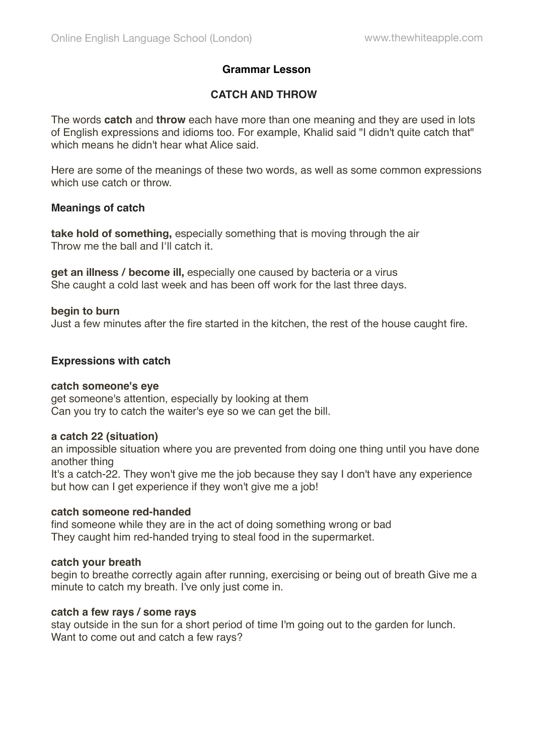# **Grammar Lesson**

# **CATCH AND THROW**

The words **catch** and **throw** each have more than one meaning and they are used in lots of English expressions and idioms too. For example, Khalid said "I didn't quite catch that" which means he didn't hear what Alice said.

Here are some of the meanings of these two words, as well as some common expressions which use catch or throw.

## **Meanings of catch**

**take hold of something,** especially something that is moving through the air Throw me the ball and I'll catch it.

**get an illness / become ill,** especially one caused by bacteria or a virus She caught a cold last week and has been off work for the last three days.

### **begin to burn**

Just a few minutes after the fire started in the kitchen, the rest of the house caught fire.

### **Expressions with catch**

#### **catch someone's eye**

get someone's attention, especially by looking at them Can you try to catch the waiter's eye so we can get the bill.

## **a catch 22 (situation)**

an impossible situation where you are prevented from doing one thing until you have done another thing It's a catch-22. They won't give me the job because they say I don't have any experience but how can I get experience if they won't give me a job!

#### **catch someone red-handed**

find someone while they are in the act of doing something wrong or bad They caught him red-handed trying to steal food in the supermarket.

#### **catch your breath**

begin to breathe correctly again after running, exercising or being out of breath Give me a minute to catch my breath. I've only just come in.

## **catch a few rays / some rays**

stay outside in the sun for a short period of time I'm going out to the garden for lunch. Want to come out and catch a few rays?